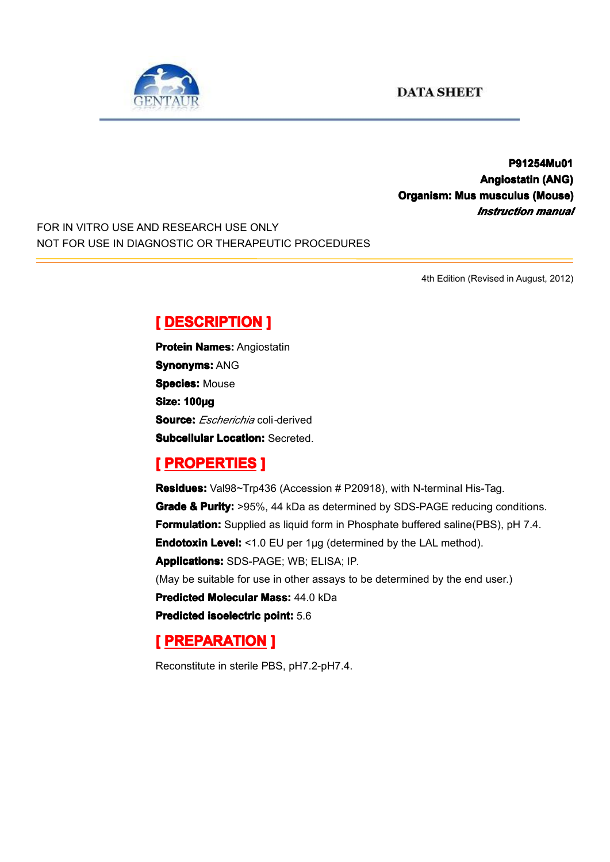

### **P91254Mu01 P91254Mu01 P91254Mu01 Angiostatin Angiostatin(ANG) Organism: Mus musculus musculus(Mouse) (Mouse)** *Instruction manual*

FOR IN VITRO USE AND RESEARCH USE ONLY NOT FOR USE IN DIAGNOSTIC OR THERAPEUTIC PROCEDURES

4th Edition (Revised in August, 2012)

# $[$  **DESCRIPTION** ]

**Protein Names: Angiostatin Synonyms: ANG Species: Mouse Size: 100µg Source:** *Escherichia* coli*-*derived **Subcellular Location: Secreted.** 

# $R$  **PROPERTIES ]**

**Residues:** Val98~Trp436 (Accession # P20918), with N-terminal His-Tag. **Grade & Purity:** >95%, 44 kDa as determined by SDS-PAGE reducing conditions. **Formulation:** Supplied as liquid form in Phosphate buffered saline(PBS), pH 7.4. **Endotoxin Level:** <1.0 EU per 1µg (determined by the LAL method). **Applications: Applications:**SDS-PAGE; WB; ELISA; IP. (May be suitable for use in other assays to be determined by the end user.) **Predicted Molecular Mass: 44.0 kDa Predicted Predicted[isoelectric](app:ds:  isoelectric point) isoelectricisoelectricisoelectric point:** 5.6

# **[ PREPARATION** ]

Reconstitute in sterile PBS, pH7.2-pH7.4.